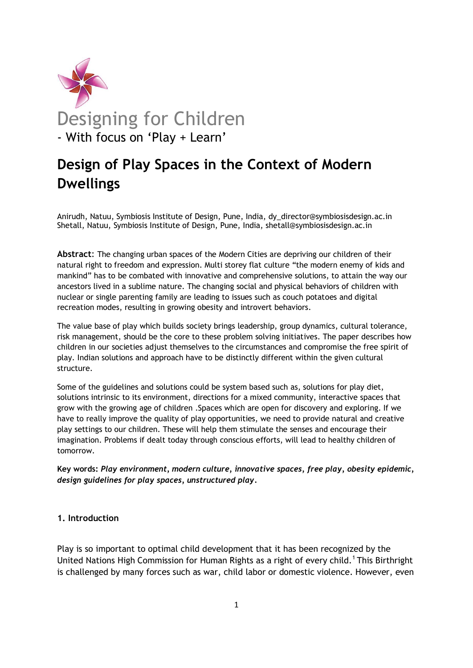

# **Design of Play Spaces in the Context of Modern Dwellings**

Anirudh, Natuu, Symbiosis Institute of Design, Pune, India, dy\_director@symbiosisdesign.ac.in Shetall, Natuu, Symbiosis Institute of Design, Pune, India, shetall@symbiosisdesign.ac.in

**Abstract**: The changing urban spaces of the Modern Cities are depriving our children of their natural right to freedom and expression. Multi storey flat culture "the modern enemy of kids and mankind" has to be combated with innovative and comprehensive solutions, to attain the way our ancestors lived in a sublime nature. The changing social and physical behaviors of children with nuclear or single parenting family are leading to issues such as couch potatoes and digital recreation modes, resulting in growing obesity and introvert behaviors.

The value base of play which builds society brings leadership, group dynamics, cultural tolerance, risk management, should be the core to these problem solving initiatives. The paper describes how children in our societies adjust themselves to the circumstances and compromise the free spirit of play. Indian solutions and approach have to be distinctly different within the given cultural structure.

Some of the guidelines and solutions could be system based such as, solutions for play diet, solutions intrinsic to its environment, directions for a mixed community, interactive spaces that grow with the growing age of children .Spaces which are open for discovery and exploring. If we have to really improve the quality of play opportunities, we need to provide natural and creative play settings to our children. These will help them stimulate the senses and encourage their imagination. Problems if dealt today through conscious efforts, will lead to healthy children of tomorrow.

**Key words:** *Play environment, modern culture, innovative spaces, free play, obesity epidemic, design guidelines for play spaces, unstructured play.*

## **1. Introduction**

Play is so important to optimal child development that it has been recognized by the United Nations High Commission for Human Rights as a right of every child.<sup>1</sup> This Birthright is challenged by many forces such as war, child labor or domestic violence. However, even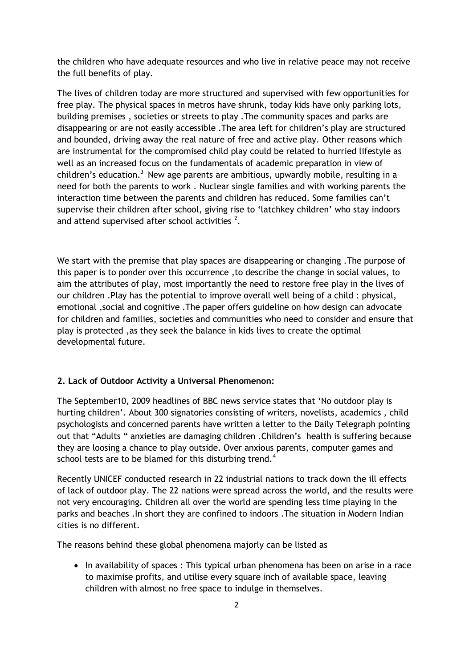the children who have adequate resources and who live in relative peace may not receive the full benefits of play.

The lives of children today are more structured and supervised with few opportunities for free play. The physical spaces in metros have shrunk, today kids have only parking lots, building premises , societies or streets to play .The community spaces and parks are disappearing or are not easily accessible .The area left for children"s play are structured and bounded, driving away the real nature of free and active play. Other reasons which are instrumental for the compromised child play could be related to hurried lifestyle as well as an increased focus on the fundamentals of academic preparation in view of children's education. $3$  New age parents are ambitious, upwardly mobile, resulting in a need for both the parents to work . Nuclear single families and with working parents the interaction time between the parents and children has reduced. Some families can"t supervise their children after school, giving rise to 'latchkey children' who stay indoors and attend supervised after school activities  $2$ .

We start with the premise that play spaces are disappearing or changing .The purpose of this paper is to ponder over this occurrence ,to describe the change in social values, to aim the attributes of play, most importantly the need to restore free play in the lives of our children .Play has the potential to improve overall well being of a child : physical, emotional ,social and cognitive .The paper offers guideline on how design can advocate for children and families, societies and communities who need to consider and ensure that play is protected ,as they seek the balance in kids lives to create the optimal developmental future.

### **2. Lack of Outdoor Activity a Universal Phenomenon:**

The September10, 2009 headlines of BBC news service states that "No outdoor play is hurting children". About 300 signatories consisting of writers, novelists, academics , child psychologists and concerned parents have written a letter to the Daily Telegraph pointing out that "Adults " anxieties are damaging children .Children"s health is suffering because they are loosing a chance to play outside. Over anxious parents, computer games and school tests are to be blamed for this disturbing trend.<sup>4</sup>

Recently UNICEF conducted research in 22 industrial nations to track down the ill effects of lack of outdoor play. The 22 nations were spread across the world, and the results were not very encouraging. Children all over the world are spending less time playing in the parks and beaches .In short they are confined to indoors .The situation in Modern Indian cities is no different.

The reasons behind these global phenomena majorly can be listed as

• In availability of spaces : This typical urban phenomena has been on arise in a race to maximise profits, and utilise every square inch of available space, leaving children with almost no free space to indulge in themselves.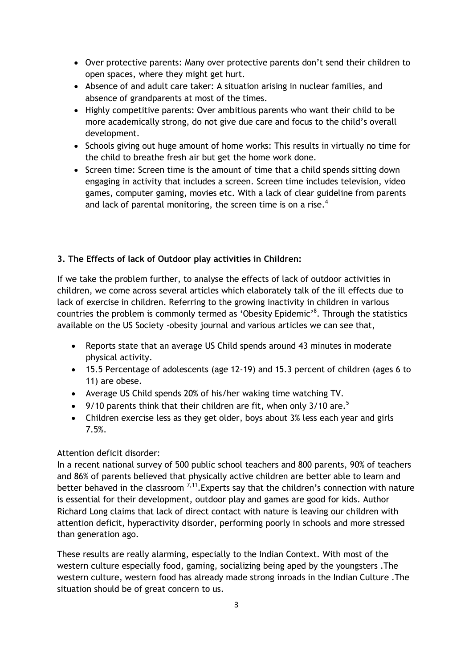- Over protective parents: Many over protective parents don"t send their children to open spaces, where they might get hurt.
- Absence of and adult care taker: A situation arising in nuclear families, and absence of grandparents at most of the times.
- Highly competitive parents: Over ambitious parents who want their child to be more academically strong, do not give due care and focus to the child"s overall development.
- Schools giving out huge amount of home works: This results in virtually no time for the child to breathe fresh air but get the home work done.
- Screen time: Screen time is the amount of time that a child spends sitting down engaging in activity that includes a screen. Screen time includes television, video games, computer gaming, movies etc. With a lack of clear guideline from parents and lack of parental monitoring, the screen time is on a rise.<sup>4</sup>

# **3. The Effects of lack of Outdoor play activities in Children:**

If we take the problem further, to analyse the effects of lack of outdoor activities in children, we come across several articles which elaborately talk of the ill effects due to lack of exercise in children. Referring to the growing inactivity in children in various countries the problem is commonly termed as 'Obesity Epidemic'<sup>8</sup>. Through the statistics available on the US Society -obesity journal and various articles we can see that,

- Reports state that an average US Child spends around 43 minutes in moderate physical activity.
- 15.5 Percentage of adolescents (age 12-19) and 15.3 percent of children (ages 6 to 11) are obese.
- Average US Child spends 20% of his/her waking time watching TV.
- 9/10 parents think that their children are fit, when only 3/10 are.<sup>5</sup>
- Children exercise less as they get older, boys about 3% less each year and girls 7.5%.

## Attention deficit disorder:

In a recent national survey of 500 public school teachers and 800 parents, 90% of teachers and 86% of parents believed that physically active children are better able to learn and better behaved in the classroom  $^{7,11}$ . Experts say that the children's connection with nature is essential for their development, outdoor play and games are good for kids. Author Richard Long claims that lack of direct contact with nature is leaving our children with attention deficit, hyperactivity disorder, performing poorly in schools and more stressed than generation ago.

These results are really alarming, especially to the Indian Context. With most of the western culture especially food, gaming, socializing being aped by the youngsters .The western culture, western food has already made strong inroads in the Indian Culture .The situation should be of great concern to us.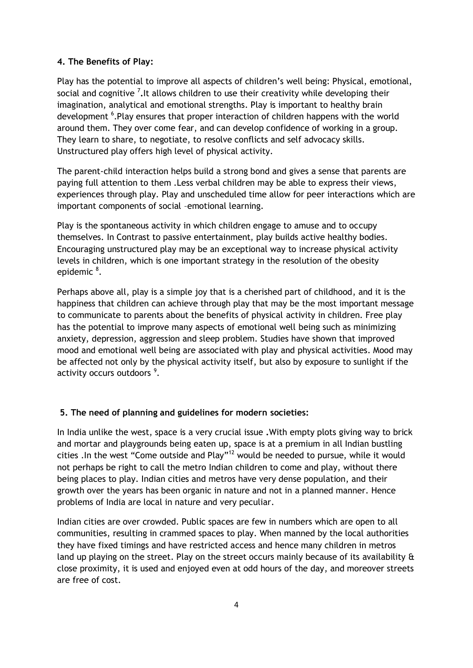## **4. The Benefits of Play:**

Play has the potential to improve all aspects of children"s well being: Physical, emotional, social and cognitive <sup>7</sup>. It allows children to use their creativity while developing their imagination, analytical and emotional strengths. Play is important to healthy brain development <sup>6</sup>. Play ensures that proper interaction of children happens with the world around them. They over come fear, and can develop confidence of working in a group. They learn to share, to negotiate, to resolve conflicts and self advocacy skills. Unstructured play offers high level of physical activity.

The parent-child interaction helps build a strong bond and gives a sense that parents are paying full attention to them .Less verbal children may be able to express their views, experiences through play. Play and unscheduled time allow for peer interactions which are important components of social –emotional learning.

Play is the spontaneous activity in which children engage to amuse and to occupy themselves. In Contrast to passive entertainment, play builds active healthy bodies. Encouraging unstructured play may be an exceptional way to increase physical activity levels in children, which is one important strategy in the resolution of the obesity epidemic<sup>8</sup>.

Perhaps above all, play is a simple joy that is a cherished part of childhood, and it is the happiness that children can achieve through play that may be the most important message to communicate to parents about the benefits of physical activity in children. Free play has the potential to improve many aspects of emotional well being such as minimizing anxiety, depression, aggression and sleep problem. Studies have shown that improved mood and emotional well being are associated with play and physical activities. Mood may be affected not only by the physical activity itself, but also by exposure to sunlight if the activity occurs outdoors<sup>9</sup>.

#### **5. The need of planning and guidelines for modern societies:**

In India unlike the west, space is a very crucial issue **.**With empty plots giving way to brick and mortar and playgrounds being eaten up, space is at a premium in all Indian bustling cities .In the west "Come outside and Play"<sup>12</sup> would be needed to pursue, while it would not perhaps be right to call the metro Indian children to come and play, without there being places to play. Indian cities and metros have very dense population, and their growth over the years has been organic in nature and not in a planned manner. Hence problems of India are local in nature and very peculiar.

Indian cities are over crowded. Public spaces are few in numbers which are open to all communities, resulting in crammed spaces to play. When manned by the local authorities they have fixed timings and have restricted access and hence many children in metros land up playing on the street. Play on the street occurs mainly because of its availability & close proximity, it is used and enjoyed even at odd hours of the day, and moreover streets are free of cost.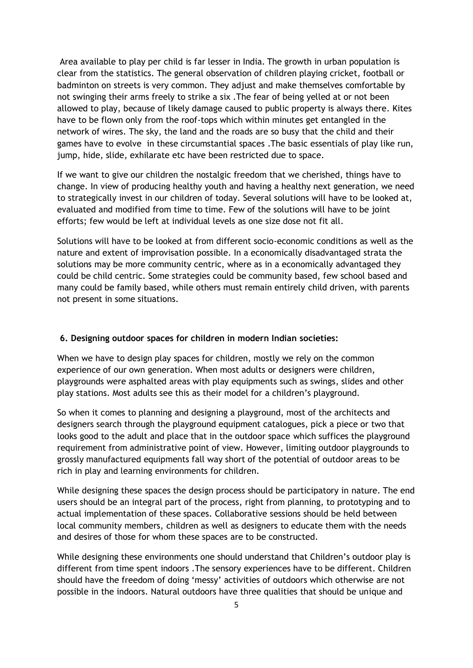Area available to play per child is far lesser in India. The growth in urban population is clear from the statistics. The general observation of children playing cricket, football or badminton on streets is very common. They adjust and make themselves comfortable by not swinging their arms freely to strike a six .The fear of being yelled at or not been allowed to play, because of likely damage caused to public property is always there. Kites have to be flown only from the roof-tops which within minutes get entangled in the network of wires. The sky, the land and the roads are so busy that the child and their games have to evolve in these circumstantial spaces .The basic essentials of play like run, jump, hide, slide, exhilarate etc have been restricted due to space.

If we want to give our children the nostalgic freedom that we cherished, things have to change. In view of producing healthy youth and having a healthy next generation, we need to strategically invest in our children of today. Several solutions will have to be looked at, evaluated and modified from time to time. Few of the solutions will have to be joint efforts; few would be left at individual levels as one size dose not fit all.

Solutions will have to be looked at from different socio-economic conditions as well as the nature and extent of improvisation possible. In a economically disadvantaged strata the solutions may be more community centric, where as in a economically advantaged they could be child centric. Some strategies could be community based, few school based and many could be family based, while others must remain entirely child driven, with parents not present in some situations.

#### **6. Designing outdoor spaces for children in modern Indian societies:**

When we have to design play spaces for children, mostly we rely on the common experience of our own generation. When most adults or designers were children, playgrounds were asphalted areas with play equipments such as swings, slides and other play stations. Most adults see this as their model for a children"s playground.

So when it comes to planning and designing a playground, most of the architects and designers search through the playground equipment catalogues, pick a piece or two that looks good to the adult and place that in the outdoor space which suffices the playground requirement from administrative point of view. However, limiting outdoor playgrounds to grossly manufactured equipments fall way short of the potential of outdoor areas to be rich in play and learning environments for children.

While designing these spaces the design process should be participatory in nature. The end users should be an integral part of the process, right from planning, to prototyping and to actual implementation of these spaces. Collaborative sessions should be held between local community members, children as well as designers to educate them with the needs and desires of those for whom these spaces are to be constructed.

While designing these environments one should understand that Children"s outdoor play is different from time spent indoors .The sensory experiences have to be different. Children should have the freedom of doing 'messy' activities of outdoors which otherwise are not possible in the indoors. Natural outdoors have three qualities that should be unique and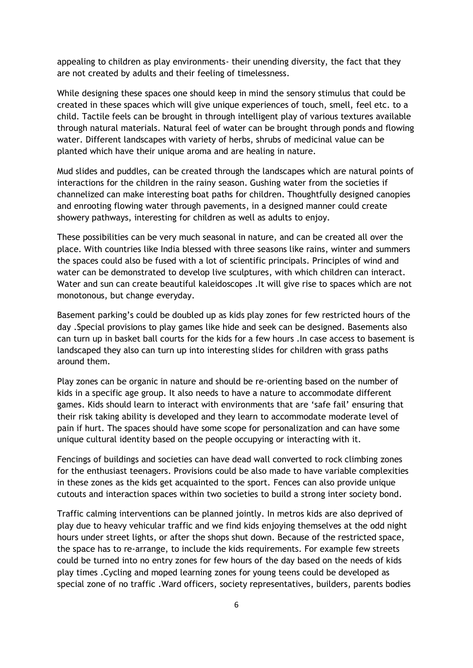appealing to children as play environments- their unending diversity, the fact that they are not created by adults and their feeling of timelessness.

While designing these spaces one should keep in mind the sensory stimulus that could be created in these spaces which will give unique experiences of touch, smell, feel etc. to a child. Tactile feels can be brought in through intelligent play of various textures available through natural materials. Natural feel of water can be brought through ponds and flowing water. Different landscapes with variety of herbs, shrubs of medicinal value can be planted which have their unique aroma and are healing in nature.

Mud slides and puddles, can be created through the landscapes which are natural points of interactions for the children in the rainy season. Gushing water from the societies if channelized can make interesting boat paths for children. Thoughtfully designed canopies and enrooting flowing water through pavements, in a designed manner could create showery pathways, interesting for children as well as adults to enjoy.

These possibilities can be very much seasonal in nature, and can be created all over the place. With countries like India blessed with three seasons like rains, winter and summers the spaces could also be fused with a lot of scientific principals. Principles of wind and water can be demonstrated to develop live sculptures, with which children can interact. Water and sun can create beautiful kaleidoscopes .It will give rise to spaces which are not monotonous, but change everyday.

Basement parking"s could be doubled up as kids play zones for few restricted hours of the day .Special provisions to play games like hide and seek can be designed. Basements also can turn up in basket ball courts for the kids for a few hours .In case access to basement is landscaped they also can turn up into interesting slides for children with grass paths around them.

Play zones can be organic in nature and should be re-orienting based on the number of kids in a specific age group. It also needs to have a nature to accommodate different games. Kids should learn to interact with environments that are "safe fail" ensuring that their risk taking ability is developed and they learn to accommodate moderate level of pain if hurt. The spaces should have some scope for personalization and can have some unique cultural identity based on the people occupying or interacting with it.

Fencings of buildings and societies can have dead wall converted to rock climbing zones for the enthusiast teenagers. Provisions could be also made to have variable complexities in these zones as the kids get acquainted to the sport. Fences can also provide unique cutouts and interaction spaces within two societies to build a strong inter society bond.

Traffic calming interventions can be planned jointly. In metros kids are also deprived of play due to heavy vehicular traffic and we find kids enjoying themselves at the odd night hours under street lights, or after the shops shut down. Because of the restricted space, the space has to re-arrange, to include the kids requirements. For example few streets could be turned into no entry zones for few hours of the day based on the needs of kids play times .Cycling and moped learning zones for young teens could be developed as special zone of no traffic .Ward officers, society representatives, builders, parents bodies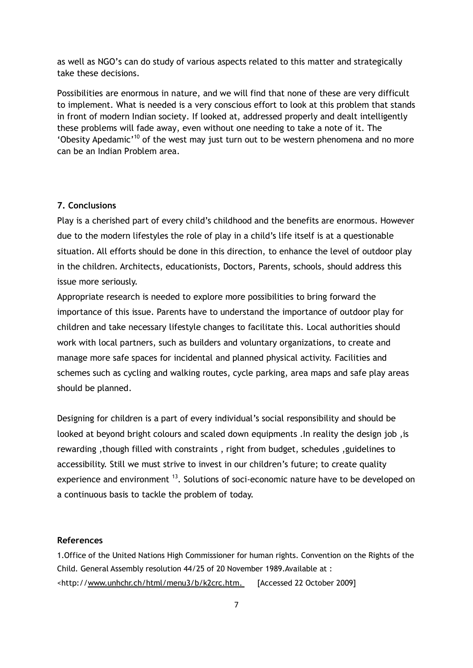as well as NGO"s can do study of various aspects related to this matter and strategically take these decisions.

Possibilities are enormous in nature, and we will find that none of these are very difficult to implement. What is needed is a very conscious effort to look at this problem that stands in front of modern Indian society. If looked at, addressed properly and dealt intelligently these problems will fade away, even without one needing to take a note of it. The 'Obesity Apedamic'<sup>10</sup> of the west may just turn out to be western phenomena and no more can be an Indian Problem area.

## **7. Conclusions**

Play is a cherished part of every child's childhood and the benefits are enormous. However due to the modern lifestyles the role of play in a child"s life itself is at a questionable situation. All efforts should be done in this direction, to enhance the level of outdoor play in the children. Architects, educationists, Doctors, Parents, schools, should address this issue more seriously.

Appropriate research is needed to explore more possibilities to bring forward the importance of this issue. Parents have to understand the importance of outdoor play for children and take necessary lifestyle changes to facilitate this. Local authorities should work with local partners, such as builders and voluntary organizations, to create and manage more safe spaces for incidental and planned physical activity. Facilities and schemes such as cycling and walking routes, cycle parking, area maps and safe play areas should be planned.

Designing for children is a part of every individual"s social responsibility and should be looked at beyond bright colours and scaled down equipments .In reality the design job ,is rewarding ,though filled with constraints , right from budget, schedules ,guidelines to accessibility. Still we must strive to invest in our children"s future; to create quality experience and environment  $^{13}$ . Solutions of soci-economic nature have to be developed on a continuous basis to tackle the problem of today.

#### **References**

1.Office of the United Nations High Commissioner for human rights. Convention on the Rights of the Child. General Assembly resolution 44/25 of 20 November 1989.Available at : <http:/[/www.unhchr.ch/html/menu3/b/k2crc.htm. \[Accessed](http://www.unhchr.ch/html/menu3/b/k2crc.htm.%20%20%5bAccessed) 22 October 2009]